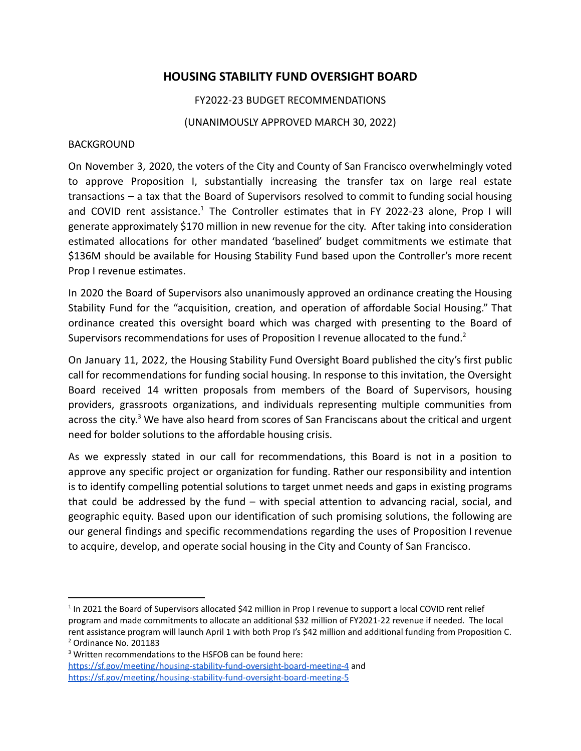## **HOUSING STABILITY FUND OVERSIGHT BOARD**

FY2022-23 BUDGET RECOMMENDATIONS

(UNANIMOUSLY APPROVED MARCH 30, 2022)

## BACKGROUND

On November 3, 2020, the voters of the City and County of San Francisco overwhelmingly voted to approve Proposition I, substantially increasing the transfer tax on large real estate transactions – a tax that the Board of Supervisors resolved to commit to funding social housing and COVID rent assistance.<sup>1</sup> The Controller estimates that in FY 2022-23 alone, Prop I will generate approximately \$170 million in new revenue for the city. After taking into consideration estimated allocations for other mandated 'baselined' budget commitments we estimate that \$136M should be available for Housing Stability Fund based upon the Controller's more recent Prop I revenue estimates.

In 2020 the Board of Supervisors also unanimously approved an ordinance creating the Housing Stability Fund for the "acquisition, creation, and operation of affordable Social Housing." That ordinance created this oversight board which was charged with presenting to the Board of Supervisors recommendations for uses of Proposition I revenue allocated to the fund.<sup>2</sup>

On January 11, 2022, the Housing Stability Fund Oversight Board published the city's first public call for recommendations for funding social housing. In response to this invitation, the Oversight Board received 14 written proposals from members of the Board of Supervisors, housing providers, grassroots organizations, and individuals representing multiple communities from across the city.<sup>3</sup> We have also heard from scores of San Franciscans about the critical and urgent need for bolder solutions to the affordable housing crisis.

As we expressly stated in our call for recommendations, this Board is not in a position to approve any specific project or organization for funding. Rather our responsibility and intention is to identify compelling potential solutions to target unmet needs and gaps in existing programs that could be addressed by the fund – with special attention to advancing racial, social, and geographic equity. Based upon our identification of such promising solutions, the following are our general findings and specific recommendations regarding the uses of Proposition I revenue to acquire, develop, and operate social housing in the City and County of San Francisco.

<sup>2</sup> Ordinance No. 201183  $1$  In 2021 the Board of Supervisors allocated \$42 million in Prop I revenue to support a local COVID rent relief program and made commitments to allocate an additional \$32 million of FY2021-22 revenue if needed. The local rent assistance program will launch April 1 with both Prop I's \$42 million and additional funding from Proposition C.

<sup>&</sup>lt;sup>3</sup> Written recommendations to the HSFOB can be found here: <https://sf.gov/meeting/housing-stability-fund-oversight-board-meeting-4> and <https://sf.gov/meeting/housing-stability-fund-oversight-board-meeting-5>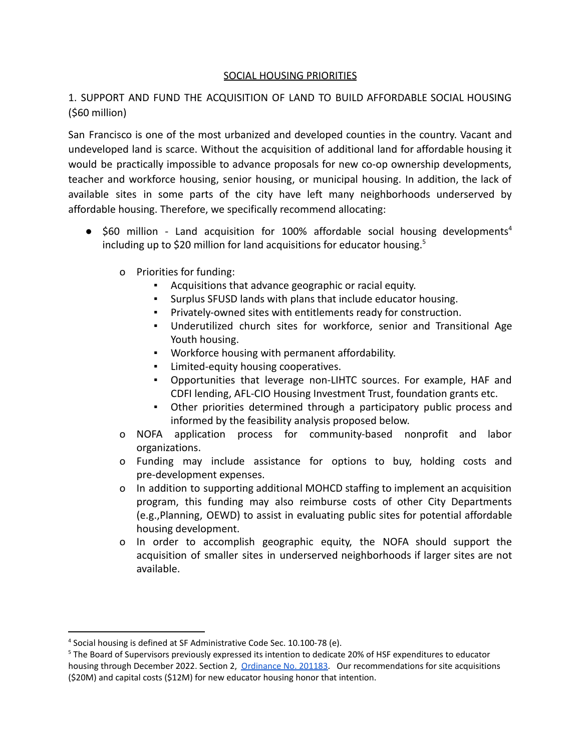## SOCIAL HOUSING PRIORITIES

1. SUPPORT AND FUND THE ACQUISITION OF LAND TO BUILD AFFORDABLE SOCIAL HOUSING (\$60 million)

San Francisco is one of the most urbanized and developed counties in the country. Vacant and undeveloped land is scarce. Without the acquisition of additional land for affordable housing it would be practically impossible to advance proposals for new co-op ownership developments, teacher and workforce housing, senior housing, or municipal housing. In addition, the lack of available sites in some parts of the city have left many neighborhoods underserved by affordable housing. Therefore, we specifically recommend allocating:

- $\bullet$  \$60 million Land acquisition for 100% affordable social housing developments<sup>4</sup> including up to \$20 million for land acquisitions for educator housing.<sup>5</sup>
	- o Priorities for funding:
		- Acquisitions that advance geographic or racial equity.
		- Surplus SFUSD lands with plans that include educator housing.
		- Privately-owned sites with entitlements ready for construction.
		- Underutilized church sites for workforce, senior and Transitional Age Youth housing.
		- Workforce housing with permanent affordability.
		- **EXECUTE:** Limited-equity housing cooperatives.
		- Opportunities that leverage non-LIHTC sources. For example, HAF and CDFI lending, AFL-CIO Housing Investment Trust, foundation grants etc.
		- Other priorities determined through a participatory public process and informed by the feasibility analysis proposed below.
	- o NOFA application process for community-based nonprofit and labor organizations.
	- o Funding may include assistance for options to buy, holding costs and pre-development expenses.
	- o In addition to supporting additional MOHCD staffing to implement an acquisition program, this funding may also reimburse costs of other City Departments (e.g.,Planning, OEWD) to assist in evaluating public sites for potential affordable housing development.
	- o In order to accomplish geographic equity, the NOFA should support the acquisition of smaller sites in underserved neighborhoods if larger sites are not available.

<sup>4</sup> Social housing is defined at SF Administrative Code Sec. 10.100-78 (e).

<sup>5</sup> The Board of Supervisors previously expressed its intention to dedicate 20% of HSF expenditures to educator housing through December 2022. Section 2, [Ordinance](https://sfgov.legistar.com/View.ashx?M=F&ID=8925850&GUID=2A822CCF-55A8-4415-A09E-EB8EC9DBA051) No. 201183. Our recommendations for site acquisitions (\$20M) and capital costs (\$12M) for new educator housing honor that intention.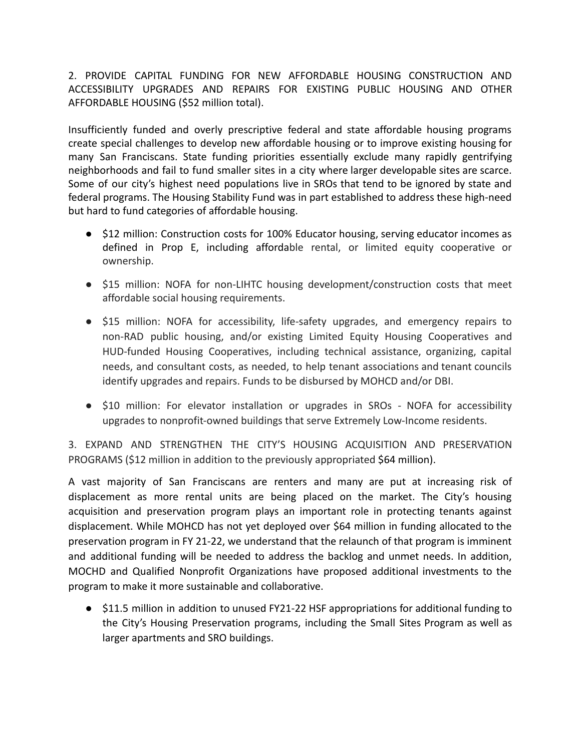2. PROVIDE CAPITAL FUNDING FOR NEW AFFORDABLE HOUSING CONSTRUCTION AND ACCESSIBILITY UPGRADES AND REPAIRS FOR EXISTING PUBLIC HOUSING AND OTHER AFFORDABLE HOUSING (\$52 million total).

Insufficiently funded and overly prescriptive federal and state affordable housing programs create special challenges to develop new affordable housing or to improve existing housing for many San Franciscans. State funding priorities essentially exclude many rapidly gentrifying neighborhoods and fail to fund smaller sites in a city where larger developable sites are scarce. Some of our city's highest need populations live in SROs that tend to be ignored by state and federal programs. The Housing Stability Fund was in part established to address these high-need but hard to fund categories of affordable housing.

- \$12 million: Construction costs for 100% Educator housing, serving educator incomes as defined in Prop E, including affordable rental, or limited equity cooperative or ownership.
- \$15 million: NOFA for non-LIHTC housing development/construction costs that meet affordable social housing requirements.
- \$15 million: NOFA for accessibility, life-safety upgrades, and emergency repairs to non-RAD public housing, and/or existing Limited Equity Housing Cooperatives and HUD-funded Housing Cooperatives, including technical assistance, organizing, capital needs, and consultant costs, as needed, to help tenant associations and tenant councils identify upgrades and repairs. Funds to be disbursed by MOHCD and/or DBI.
- \$10 million: For elevator installation or upgrades in SROs NOFA for accessibility upgrades to nonprofit-owned buildings that serve Extremely Low-Income residents.

3. EXPAND AND STRENGTHEN THE CITY'S HOUSING ACQUISITION AND PRESERVATION PROGRAMS (\$12 million in addition to the previously appropriated \$64 million).

A vast majority of San Franciscans are renters and many are put at increasing risk of displacement as more rental units are being placed on the market. The City's housing acquisition and preservation program plays an important role in protecting tenants against displacement. While MOHCD has not yet deployed over \$64 million in funding allocated to the preservation program in FY 21-22, we understand that the relaunch of that program is imminent and additional funding will be needed to address the backlog and unmet needs. In addition, MOCHD and Qualified Nonprofit Organizations have proposed additional investments to the program to make it more sustainable and collaborative.

● \$11.5 million in addition to unused FY21-22 HSF appropriations for additional funding to the City's Housing Preservation programs, including the Small Sites Program as well as larger apartments and SRO buildings.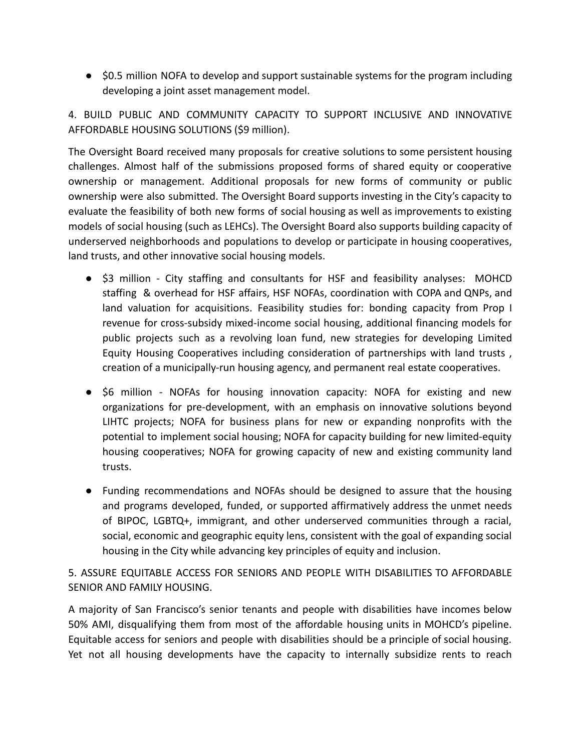● \$0.5 million NOFA to develop and support sustainable systems for the program including developing a joint asset management model.

4. BUILD PUBLIC AND COMMUNITY CAPACITY TO SUPPORT INCLUSIVE AND INNOVATIVE AFFORDABLE HOUSING SOLUTIONS (\$9 million).

The Oversight Board received many proposals for creative solutions to some persistent housing challenges. Almost half of the submissions proposed forms of shared equity or cooperative ownership or management. Additional proposals for new forms of community or public ownership were also submitted. The Oversight Board supports investing in the City's capacity to evaluate the feasibility of both new forms of social housing as well as improvements to existing models of social housing (such as LEHCs). The Oversight Board also supports building capacity of underserved neighborhoods and populations to develop or participate in housing cooperatives, land trusts, and other innovative social housing models.

- \$3 million City staffing and consultants for HSF and feasibility analyses: MOHCD staffing & overhead for HSF affairs, HSF NOFAs, coordination with COPA and QNPs, and land valuation for acquisitions. Feasibility studies for: bonding capacity from Prop I revenue for cross-subsidy mixed-income social housing, additional financing models for public projects such as a revolving loan fund, new strategies for developing Limited Equity Housing Cooperatives including consideration of partnerships with land trusts , creation of a municipally-run housing agency, and permanent real estate cooperatives.
- \$6 million NOFAs for housing innovation capacity: NOFA for existing and new organizations for pre-development, with an emphasis on innovative solutions beyond LIHTC projects; NOFA for business plans for new or expanding nonprofits with the potential to implement social housing; NOFA for capacity building for new limited-equity housing cooperatives; NOFA for growing capacity of new and existing community land trusts.
- Funding recommendations and NOFAs should be designed to assure that the housing and programs developed, funded, or supported affirmatively address the unmet needs of BIPOC, LGBTQ+, immigrant, and other underserved communities through a racial, social, economic and geographic equity lens, consistent with the goal of expanding social housing in the City while advancing key principles of equity and inclusion.

5. ASSURE EQUITABLE ACCESS FOR SENIORS AND PEOPLE WITH DISABILITIES TO AFFORDABLE SENIOR AND FAMILY HOUSING.

A majority of San Francisco's senior tenants and people with disabilities have incomes below 50% AMI, disqualifying them from most of the affordable housing units in MOHCD's pipeline. Equitable access for seniors and people with disabilities should be a principle of social housing. Yet not all housing developments have the capacity to internally subsidize rents to reach